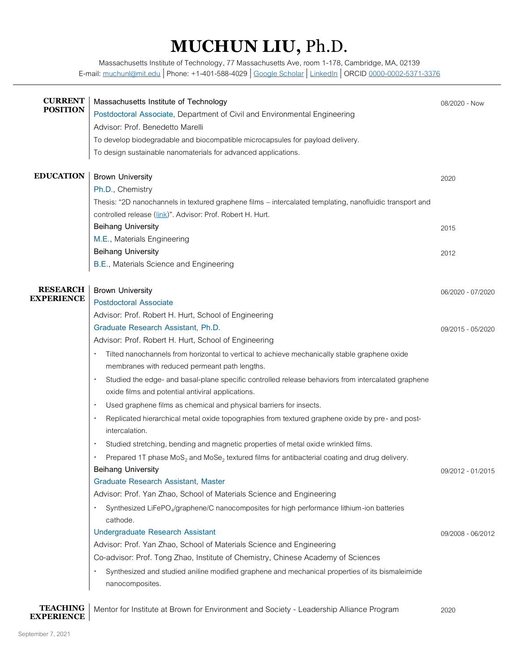## **MUCHUN LIU,** Ph.D.

Massachusetts Institute of Technology, 77 Massachusetts Ave, room 1-178, Cambridge, MA, 02139 E-mail[: muchunl@mit.edu](mailto:muchunl@mit.edu) | Phone: +1-401-588-4029 | [Google Scholar](https://scholar.google.com/citations?user=MaQv0mgAAAAJ&hl=en) | [LinkedIn](https://www.linkedin.com/in/muchun-liu-81477662/) | ORCID [0000-0002-5371-3376](https://orcid.org/0000-0002-5371-3376)

| <b>CURRENT</b><br><b>POSITION</b> | Massachusetts Institute of Technology<br>Postdoctoral Associate, Department of Civil and Environmental Engineering | 08/2020 - Now     |
|-----------------------------------|--------------------------------------------------------------------------------------------------------------------|-------------------|
|                                   | Advisor: Prof. Benedetto Marelli                                                                                   |                   |
|                                   | To develop biodegradable and biocompatible microcapsules for payload delivery.                                     |                   |
|                                   | To design sustainable nanomaterials for advanced applications.                                                     |                   |
| <b>EDUCATION</b>                  | <b>Brown University</b>                                                                                            | 2020              |
|                                   | Ph.D., Chemistry                                                                                                   |                   |
|                                   | Thesis: "2D nanochannels in textured graphene films – intercalated templating, nanofluidic transport and           |                   |
|                                   | controlled release (link)". Advisor: Prof. Robert H. Hurt.                                                         |                   |
|                                   | <b>Beihang University</b>                                                                                          | 2015              |
|                                   | M.E., Materials Engineering                                                                                        |                   |
|                                   | <b>Beihang University</b>                                                                                          | 2012              |
|                                   | B.E., Materials Science and Engineering                                                                            |                   |
| <b>RESEARCH</b>                   | <b>Brown University</b>                                                                                            | 06/2020 - 07/2020 |
| <b>EXPERIENCE</b>                 | <b>Postdoctoral Associate</b>                                                                                      |                   |
|                                   | Advisor: Prof. Robert H. Hurt, School of Engineering                                                               |                   |
|                                   | Graduate Research Assistant, Ph.D.                                                                                 | 09/2015 - 05/2020 |
|                                   | Advisor: Prof. Robert H. Hurt, School of Engineering                                                               |                   |
|                                   | Tilted nanochannels from horizontal to vertical to achieve mechanically stable graphene oxide                      |                   |
|                                   | membranes with reduced permeant path lengths.                                                                      |                   |
|                                   | Studied the edge- and basal-plane specific controlled release behaviors from intercalated graphene                 |                   |
|                                   | oxide films and potential antiviral applications.                                                                  |                   |
|                                   | Used graphene films as chemical and physical barriers for insects.                                                 |                   |
|                                   | Replicated hierarchical metal oxide topographies from textured graphene oxide by pre- and post-<br>intercalation.  |                   |
|                                   | Studied stretching, bending and magnetic properties of metal oxide wrinkled films.<br>$\bullet$                    |                   |
|                                   | Prepared 1T phase $MoS2$ and $Mose2$ textured films for antibacterial coating and drug delivery.                   |                   |
|                                   | Beihang University                                                                                                 | 09/2012 - 01/2015 |
|                                   | <b>Graduate Research Assistant, Master</b>                                                                         |                   |
|                                   | Advisor: Prof. Yan Zhao, School of Materials Science and Engineering                                               |                   |
|                                   | Synthesized LiFePO <sub>4</sub> /graphene/C nanocomposites for high performance lithium-ion batteries              |                   |
|                                   | cathode.                                                                                                           |                   |
|                                   | <b>Undergraduate Research Assistant</b>                                                                            | 09/2008 - 06/2012 |
|                                   | Advisor: Prof. Yan Zhao, School of Materials Science and Engineering                                               |                   |
|                                   | Co-advisor: Prof. Tong Zhao, Institute of Chemistry, Chinese Academy of Sciences                                   |                   |
|                                   | Synthesized and studied aniline modified graphene and mechanical properties of its bismaleimide                    |                   |
|                                   | nanocomposites.                                                                                                    |                   |
|                                   |                                                                                                                    |                   |
|                                   |                                                                                                                    |                   |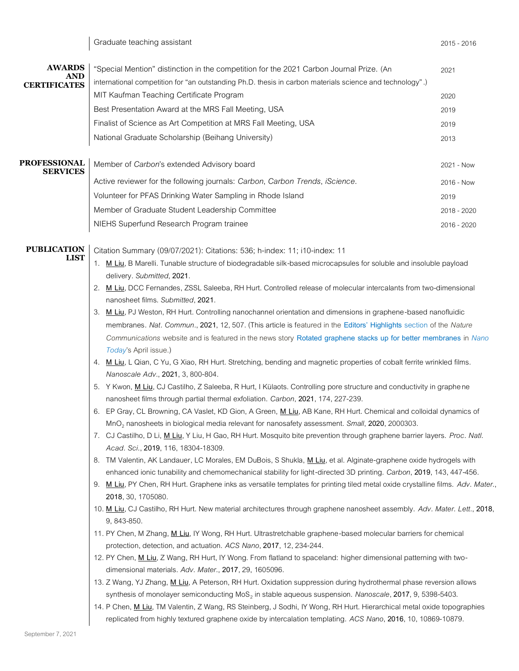| <b>AWARDS</b>                     | "Special Mention" distinction in the competition for the 2021 Carbon Journal Prize. (An                                                                                                                                                                                       | 2021        |  |
|-----------------------------------|-------------------------------------------------------------------------------------------------------------------------------------------------------------------------------------------------------------------------------------------------------------------------------|-------------|--|
| AND<br><b>CERTIFICATES</b>        | international competition for "an outstanding Ph.D. thesis in carbon materials science and technology".)                                                                                                                                                                      |             |  |
|                                   | MIT Kaufman Teaching Certificate Program                                                                                                                                                                                                                                      | 2020        |  |
|                                   | Best Presentation Award at the MRS Fall Meeting, USA                                                                                                                                                                                                                          | 2019        |  |
|                                   | Finalist of Science as Art Competition at MRS Fall Meeting, USA                                                                                                                                                                                                               | 2019        |  |
|                                   | National Graduate Scholarship (Beihang University)                                                                                                                                                                                                                            | 2013        |  |
| <b>PROFESSIONAL</b>               | Member of Carbon's extended Advisory board                                                                                                                                                                                                                                    | 2021 - Now  |  |
| <b>SERVICES</b>                   | Active reviewer for the following journals: Carbon, Carbon Trends, iScience.                                                                                                                                                                                                  | 2016 - Now  |  |
|                                   | Volunteer for PFAS Drinking Water Sampling in Rhode Island                                                                                                                                                                                                                    | 2019        |  |
|                                   | Member of Graduate Student Leadership Committee                                                                                                                                                                                                                               |             |  |
|                                   |                                                                                                                                                                                                                                                                               | 2018 - 2020 |  |
|                                   | NIEHS Superfund Research Program trainee                                                                                                                                                                                                                                      | 2016 - 2020 |  |
| <b>PUBLICATION</b><br><b>LIST</b> | Citation Summary (09/07/2021): Citations: 536; h-index: 11; i10-index: 11                                                                                                                                                                                                     |             |  |
|                                   | 1. M Liu, B Marelli. Tunable structure of biodegradable silk-based microcapsules for soluble and insoluble payload<br>delivery. Submitted, 2021.                                                                                                                              |             |  |
|                                   | 2. M Liu, DCC Fernandes, ZSSL Saleeba, RH Hurt. Controlled release of molecular intercalants from two-dimensional                                                                                                                                                             |             |  |
|                                   | nanosheet films. Submitted, 2021.                                                                                                                                                                                                                                             |             |  |
|                                   | M Liu, PJ Weston, RH Hurt. Controlling nanochannel orientation and dimensions in graphene-based nanofluidic<br>3.                                                                                                                                                             |             |  |
|                                   | membranes. Nat. Commun., 2021, 12, 507. (This article is featured in the Editors' Highlights section of the Nature                                                                                                                                                            |             |  |
|                                   | Communications website and is featured in the news story Rotated graphene stacks up for better membranes in Nano                                                                                                                                                              |             |  |
|                                   | Today's April issue.)<br>4. M Liu, L Qian, C Yu, G Xiao, RH Hurt. Stretching, bending and magnetic properties of cobalt ferrite wrinkled films.                                                                                                                               |             |  |
|                                   | Nanoscale Adv., 2021, 3, 800-804.                                                                                                                                                                                                                                             |             |  |
|                                   | 5. Y Kwon, M Liu, CJ Castilho, Z Saleeba, R Hurt, I Külaots. Controlling pore structure and conductivity in graphe ne                                                                                                                                                         |             |  |
|                                   | nanosheet films through partial thermal exfoliation. Carbon, 2021, 174, 227-239.                                                                                                                                                                                              |             |  |
|                                   | 6. EP Gray, CL Browning, CA Vaslet, KD Gion, A Green, M Liu, AB Kane, RH Hurt. Chemical and colloidal dynamics of                                                                                                                                                             |             |  |
|                                   | MnO <sub>2</sub> nanosheets in biological media relevant for nanosafety assessment. Small, 2020, 2000303.<br>7. CJ Castilho, D Li, M Liu, Y Liu, H Gao, RH Hurt. Mosquito bite prevention through graphene barrier layers. Proc. Natl.<br>Acad. Sci., 2019, 116, 18304-18309. |             |  |
|                                   |                                                                                                                                                                                                                                                                               |             |  |
|                                   | 8. TM Valentin, AK Landauer, LC Morales, EM DuBois, S Shukla, M Liu, et al. Alginate-graphene oxide hydrogels with                                                                                                                                                            |             |  |
|                                   | enhanced ionic tunability and chemomechanical stability for light-directed 3D printing. Carbon, 2019, 143, 447-456.                                                                                                                                                           |             |  |
|                                   | M Liu, PY Chen, RH Hurt. Graphene inks as versatile templates for printing tiled metal oxide crystalline films. Adv. Mater.,<br>9.<br>2018, 30, 1705080.                                                                                                                      |             |  |
|                                   | 10. M Liu, CJ Castilho, RH Hurt. New material architectures through graphene nanosheet assembly. Adv. Mater. Lett., 2018,                                                                                                                                                     |             |  |
|                                   | 9, 843-850.                                                                                                                                                                                                                                                                   |             |  |
|                                   | 11. PY Chen, M Zhang, M Liu, IY Wong, RH Hurt. Ultrastretchable graphene-based molecular barriers for chemical                                                                                                                                                                |             |  |
|                                   | protection, detection, and actuation. ACS Nano, 2017, 12, 234-244.                                                                                                                                                                                                            |             |  |
|                                   | 12. PY Chen, M Liu, Z Wang, RH Hurt, IY Wong. From flatland to spaceland: higher dimensional patterning with two-<br>dimensional materials. Adv. Mater., 2017, 29, 1605096.                                                                                                   |             |  |
|                                   | 13. Z Wang, YJ Zhang, <i>M Liu</i> , A Peterson, RH Hurt. Oxidation suppression during hydrothermal phase reversion allows                                                                                                                                                    |             |  |
|                                   | synthesis of monolayer semiconducting MoS <sub>2</sub> in stable aqueous suspension. Nanoscale, 2017, 9, 5398-5403.                                                                                                                                                           |             |  |
|                                   | 14. P Chen, M Liu, TM Valentin, Z Wang, RS Steinberg, J Sodhi, IY Wong, RH Hurt. Hierarchical metal oxide topographies                                                                                                                                                        |             |  |
|                                   | replicated from highly textured graphene oxide by intercalation templating. ACS Nano, 2016, 10, 10869-10879.                                                                                                                                                                  |             |  |